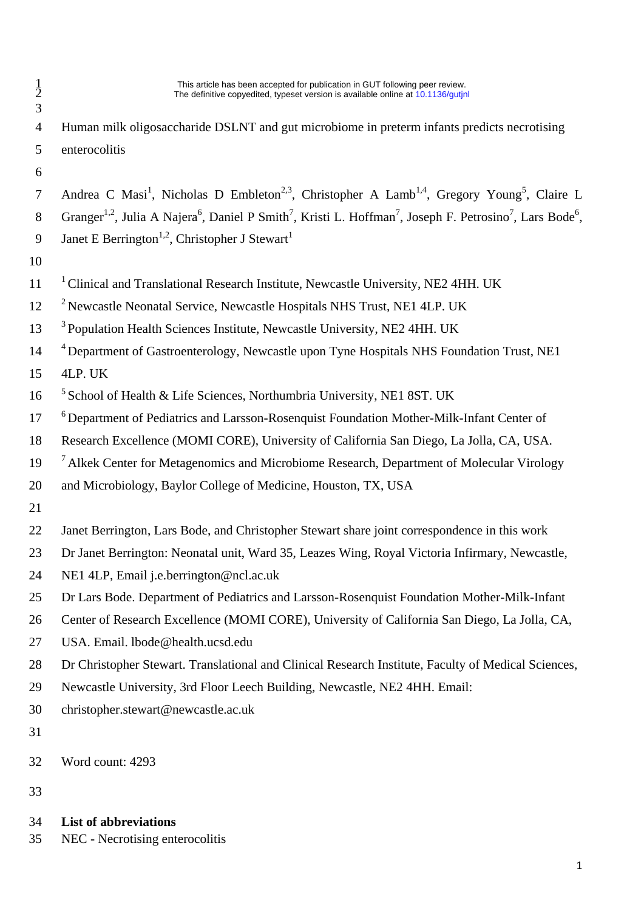1 This article has been accepted for publication in GUT following peer review.<br>
The definitive copvedited, typeset version is available online at 10.1136/qutin The definitive copvedited, typeset version is available online at 10.1136/gutinl

- Human milk oligosaccharide DSLNT and gut microbiome in preterm infants predicts necrotising enterocolitis 7 Andrea C Masi<sup>1</sup>, Nicholas D Embleton<sup>2,3</sup>, Christopher A Lamb<sup>1,4</sup>, Gregory Young<sup>5</sup>, Claire L
- 8 Granger<sup>1,2</sup>, Julia A Najera<sup>6</sup>, Daniel P Smith<sup>7</sup>, Kristi L. Hoffman<sup>7</sup>, Joseph F. Petrosino<sup>7</sup>, Lars Bode<sup>6</sup>,
- Janet E Berrington<sup>1,2</sup>, Christopher J Stewart<sup>1</sup>
- 
- <sup>1</sup> Clinical and Translational Research Institute, Newcastle University, NE2 4HH. UK
- <sup>2</sup> Newcastle Neonatal Service, Newcastle Hospitals NHS Trust, NE1 4LP. UK
- <sup>3</sup> Population Health Sciences Institute, Newcastle University, NE2 4HH. UK
- <sup>4</sup> Department of Gastroenterology, Newcastle upon Tyne Hospitals NHS Foundation Trust, NE1
- 4LP. UK
- <sup>5</sup> School of Health & Life Sciences, Northumbria University, NE1 8ST. UK
- <sup>6</sup> Department of Pediatrics and Larsson-Rosenquist Foundation Mother-Milk-Infant Center of
- Research Excellence (MOMI CORE), University of California San Diego, La Jolla, CA, USA.
- <sup>7</sup> Alkek Center for Metagenomics and Microbiome Research, Department of Molecular Virology
- and Microbiology, Baylor College of Medicine, Houston, TX, USA
- 
- Janet Berrington, Lars Bode, and Christopher Stewart share joint correspondence in this work
- Dr Janet Berrington: Neonatal unit, Ward 35, Leazes Wing, Royal Victoria Infirmary, Newcastle,
- NE1 4LP, Email j.e.berrington@ncl.ac.uk
- Dr Lars Bode. Department of Pediatrics and Larsson-Rosenquist Foundation Mother-Milk-Infant
- Center of Research Excellence (MOMI CORE), University of California San Diego, La Jolla, CA,
- USA. Email. lbode@health.ucsd.edu
- Dr Christopher Stewart. Translational and Clinical Research Institute, Faculty of Medical Sciences,
- Newcastle University, 3rd Floor Leech Building, Newcastle, NE2 4HH. Email:
- christopher.stewart@newcastle.ac.uk
- 
- Word count: 4293
- 

# **List of abbreviations**

NEC - Necrotising enterocolitis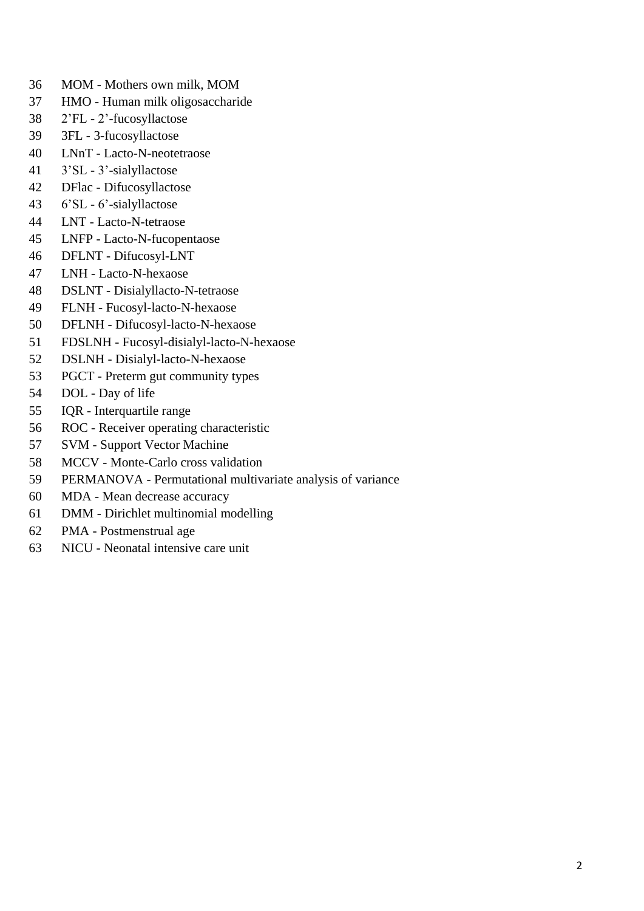- MOM Mothers own milk, MOM
- HMO Human milk oligosaccharide
- 2'FL 2'-fucosyllactose
- 3FL 3-fucosyllactose
- LNnT Lacto-N-neotetraose
- 3'SL 3'-sialyllactose
- DFlac Difucosyllactose
- 6'SL 6'-sialyllactose
- LNT Lacto-N-tetraose
- LNFP Lacto-N-fucopentaose
- DFLNT Difucosyl-LNT
- LNH Lacto-N-hexaose
- DSLNT Disialyllacto-N-tetraose
- FLNH Fucosyl-lacto-N-hexaose
- DFLNH Difucosyl-lacto-N-hexaose
- FDSLNH Fucosyl-disialyl-lacto-N-hexaose
- DSLNH Disialyl-lacto-N-hexaose
- PGCT Preterm gut community types
- DOL Day of life
- IQR Interquartile range
- ROC Receiver operating characteristic
- SVM Support Vector Machine
- MCCV Monte-Carlo cross validation
- PERMANOVA Permutational multivariate analysis of variance
- MDA Mean decrease accuracy
- DMM Dirichlet multinomial modelling
- PMA Postmenstrual age
- NICU Neonatal intensive care unit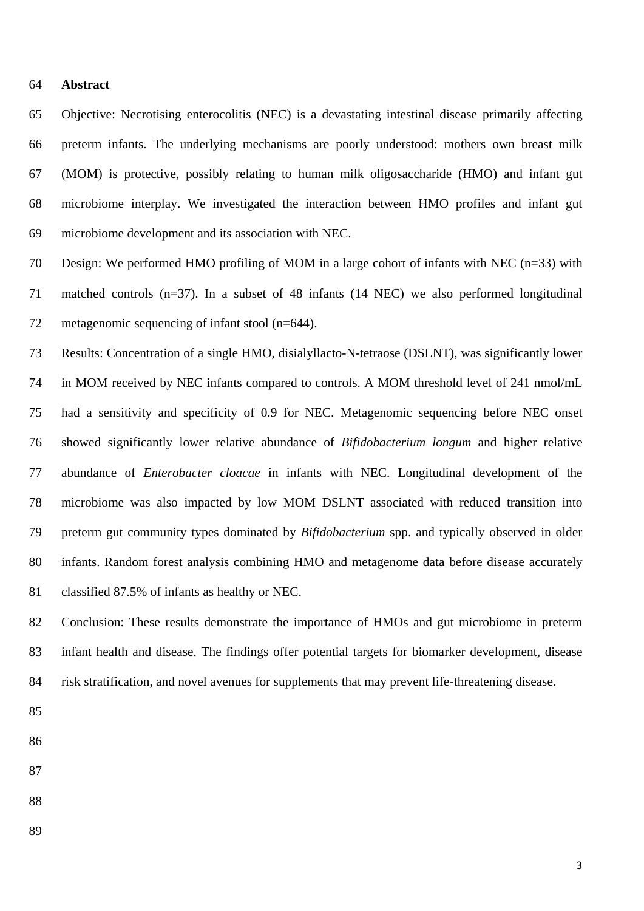### **Abstract**

 Objective: Necrotising enterocolitis (NEC) is a devastating intestinal disease primarily affecting preterm infants. The underlying mechanisms are poorly understood: mothers own breast milk (MOM) is protective, possibly relating to human milk oligosaccharide (HMO) and infant gut microbiome interplay. We investigated the interaction between HMO profiles and infant gut microbiome development and its association with NEC.

 Design: We performed HMO profiling of MOM in a large cohort of infants with NEC (n=33) with matched controls (n=37). In a subset of 48 infants (14 NEC) we also performed longitudinal metagenomic sequencing of infant stool (n=644).

 Results: Concentration of a single HMO, disialyllacto-N-tetraose (DSLNT), was significantly lower in MOM received by NEC infants compared to controls. A MOM threshold level of 241 nmol/mL had a sensitivity and specificity of 0.9 for NEC. Metagenomic sequencing before NEC onset showed significantly lower relative abundance of *Bifidobacterium longum* and higher relative abundance of *Enterobacter cloacae* in infants with NEC. Longitudinal development of the microbiome was also impacted by low MOM DSLNT associated with reduced transition into preterm gut community types dominated by *Bifidobacterium* spp. and typically observed in older infants. Random forest analysis combining HMO and metagenome data before disease accurately classified 87.5% of infants as healthy or NEC.

 Conclusion: These results demonstrate the importance of HMOs and gut microbiome in preterm infant health and disease. The findings offer potential targets for biomarker development, disease risk stratification, and novel avenues for supplements that may prevent life-threatening disease.

- 
- 
- 
- 
-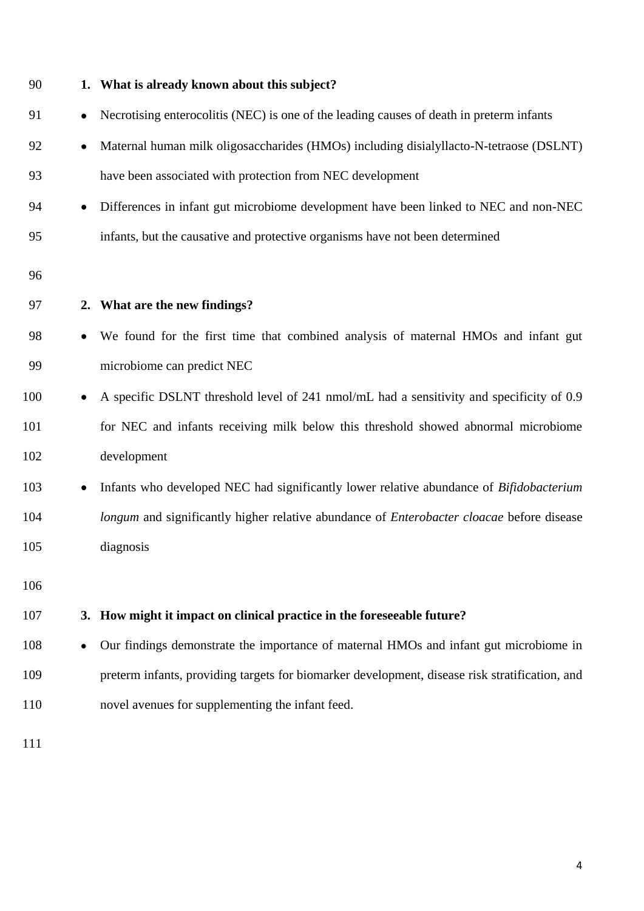| 90  |           | 1. What is already known about this subject?                                                     |
|-----|-----------|--------------------------------------------------------------------------------------------------|
| 91  | $\bullet$ | Necrotising enterocolitis (NEC) is one of the leading causes of death in preterm infants         |
| 92  | ٠         | Maternal human milk oligosaccharides (HMOs) including disialyllacto-N-tetraose (DSLNT)           |
| 93  |           | have been associated with protection from NEC development                                        |
| 94  | $\bullet$ | Differences in infant gut microbiome development have been linked to NEC and non-NEC             |
| 95  |           | infants, but the causative and protective organisms have not been determined                     |
| 96  |           |                                                                                                  |
| 97  |           | 2. What are the new findings?                                                                    |
| 98  | $\bullet$ | We found for the first time that combined analysis of maternal HMOs and infant gut               |
| 99  |           | microbiome can predict NEC                                                                       |
| 100 |           | A specific DSLNT threshold level of 241 nmol/mL had a sensitivity and specificity of 0.9         |
| 101 |           | for NEC and infants receiving milk below this threshold showed abnormal microbiome               |
| 102 |           | development                                                                                      |
| 103 | ٠         | Infants who developed NEC had significantly lower relative abundance of Bifidobacterium          |
| 104 |           | longum and significantly higher relative abundance of <i>Enterobacter cloacae</i> before disease |
| 105 |           | diagnosis                                                                                        |
| 106 |           |                                                                                                  |
| 107 |           | 3. How might it impact on clinical practice in the foreseeable future?                           |
| 108 |           | Our findings demonstrate the importance of maternal HMOs and infant gut microbiome in            |
| 109 |           | preterm infants, providing targets for biomarker development, disease risk stratification, and   |
| 110 |           | novel avenues for supplementing the infant feed.                                                 |
| 111 |           |                                                                                                  |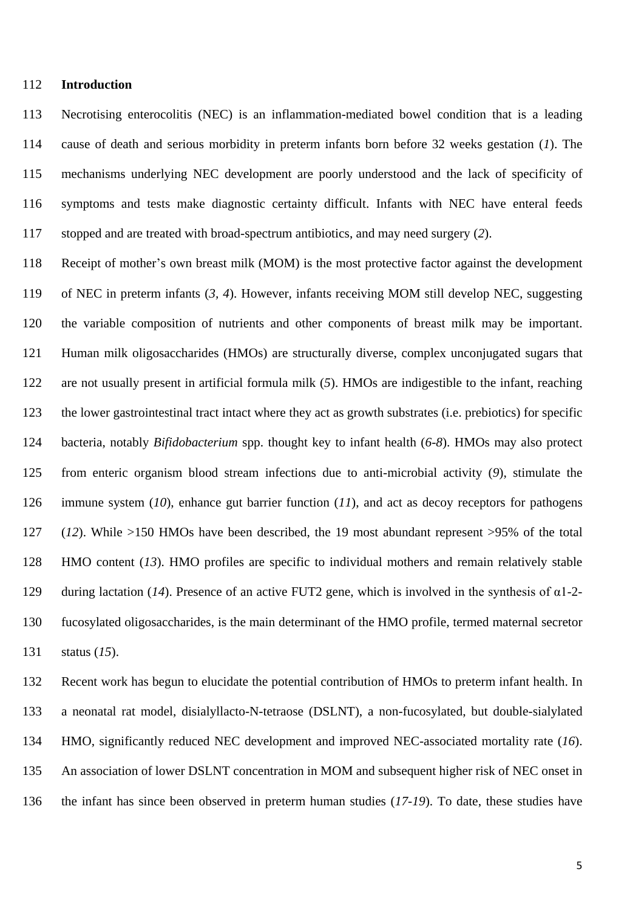### **Introduction**

 Necrotising enterocolitis (NEC) is an inflammation-mediated bowel condition that is a leading cause of death and serious morbidity in preterm infants born before 32 weeks gestation (*1*). The mechanisms underlying NEC development are poorly understood and the lack of specificity of symptoms and tests make diagnostic certainty difficult. Infants with NEC have enteral feeds stopped and are treated with broad-spectrum antibiotics, and may need surgery (*2*).

 Receipt of mother's own breast milk (MOM) is the most protective factor against the development of NEC in preterm infants (*3, 4*). However, infants receiving MOM still develop NEC, suggesting the variable composition of nutrients and other components of breast milk may be important. Human milk oligosaccharides (HMOs) are structurally diverse, complex unconjugated sugars that are not usually present in artificial formula milk (*5*). HMOs are indigestible to the infant, reaching the lower gastrointestinal tract intact where they act as growth substrates (i.e. prebiotics) for specific bacteria, notably *Bifidobacterium* spp. thought key to infant health (*6-8*). HMOs may also protect from enteric organism blood stream infections due to anti-microbial activity (*9*), stimulate the immune system (*10*), enhance gut barrier function (*11*), and act as decoy receptors for pathogens (*12*). While >150 HMOs have been described, the 19 most abundant represent >95% of the total HMO content (*13*). HMO profiles are specific to individual mothers and remain relatively stable during lactation (*14*). Presence of an active FUT2 gene, which is involved in the synthesis of α1-2- fucosylated oligosaccharides, is the main determinant of the HMO profile, termed maternal secretor status (*15*).

 Recent work has begun to elucidate the potential contribution of HMOs to preterm infant health. In a neonatal rat model, disialyllacto-N-tetraose (DSLNT), a non-fucosylated, but double-sialylated HMO, significantly reduced NEC development and improved NEC-associated mortality rate (*16*). An association of lower DSLNT concentration in MOM and subsequent higher risk of NEC onset in the infant has since been observed in preterm human studies (*17-19*). To date, these studies have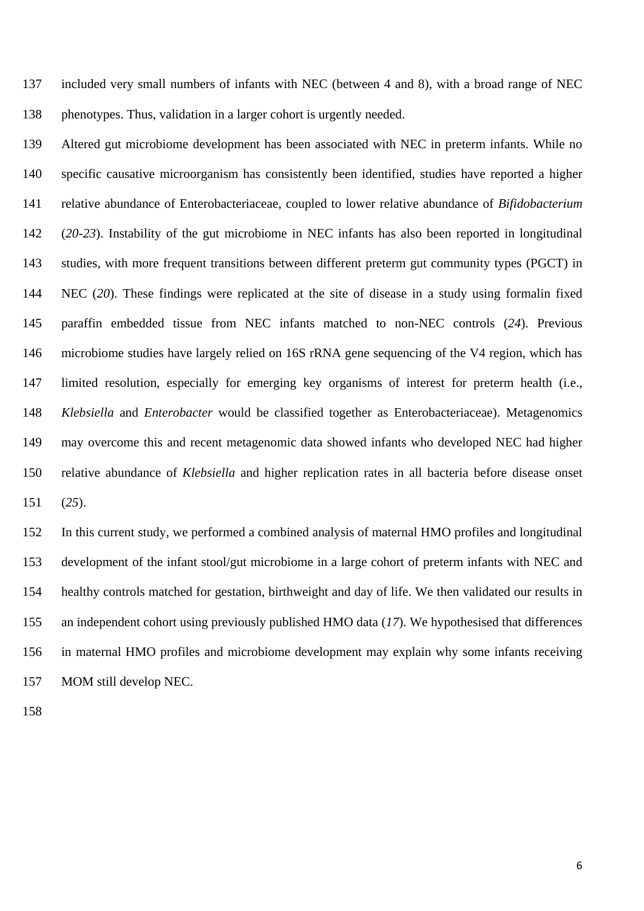included very small numbers of infants with NEC (between 4 and 8), with a broad range of NEC phenotypes. Thus, validation in a larger cohort is urgently needed.

 Altered gut microbiome development has been associated with NEC in preterm infants. While no specific causative microorganism has consistently been identified, studies have reported a higher relative abundance of Enterobacteriaceae, coupled to lower relative abundance of *Bifidobacterium* (*20-23*). Instability of the gut microbiome in NEC infants has also been reported in longitudinal studies, with more frequent transitions between different preterm gut community types (PGCT) in NEC (*20*). These findings were replicated at the site of disease in a study using formalin fixed paraffin embedded tissue from NEC infants matched to non-NEC controls (*24*). Previous microbiome studies have largely relied on 16S rRNA gene sequencing of the V4 region, which has limited resolution, especially for emerging key organisms of interest for preterm health (i.e., *Klebsiella* and *Enterobacter* would be classified together as Enterobacteriaceae). Metagenomics may overcome this and recent metagenomic data showed infants who developed NEC had higher relative abundance of *Klebsiella* and higher replication rates in all bacteria before disease onset (*25*).

 In this current study, we performed a combined analysis of maternal HMO profiles and longitudinal development of the infant stool/gut microbiome in a large cohort of preterm infants with NEC and healthy controls matched for gestation, birthweight and day of life. We then validated our results in an independent cohort using previously published HMO data (*17*). We hypothesised that differences in maternal HMO profiles and microbiome development may explain why some infants receiving MOM still develop NEC.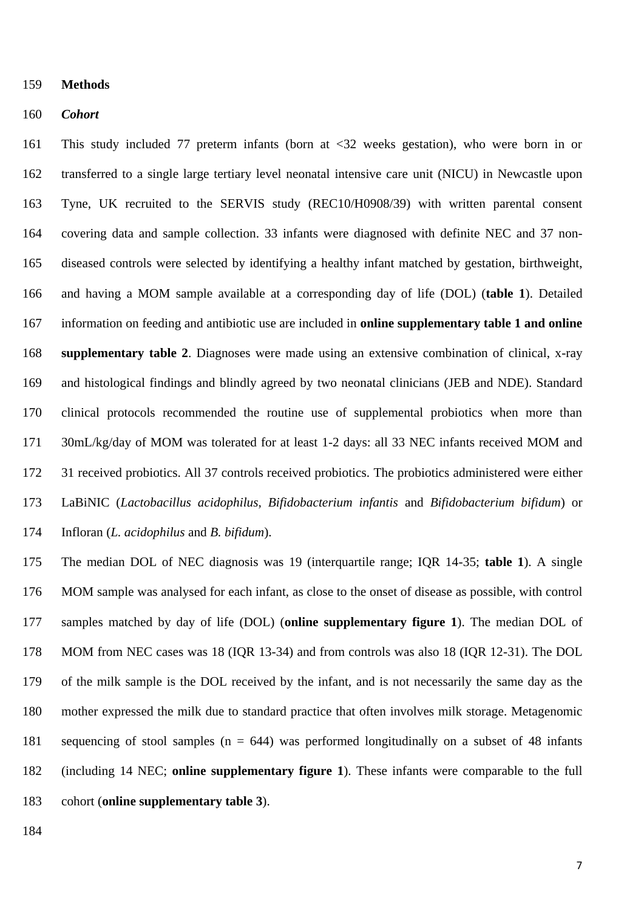#### **Methods**

#### *Cohort*

 This study included 77 preterm infants (born at <32 weeks gestation), who were born in or transferred to a single large tertiary level neonatal intensive care unit (NICU) in Newcastle upon Tyne, UK recruited to the SERVIS study (REC10/H0908/39) with written parental consent covering data and sample collection. 33 infants were diagnosed with definite NEC and 37 non- diseased controls were selected by identifying a healthy infant matched by gestation, birthweight, and having a MOM sample available at a corresponding day of life (DOL) (**table 1**). Detailed information on feeding and antibiotic use are included in **online supplementary table 1 and online supplementary table 2**. Diagnoses were made using an extensive combination of clinical, x-ray and histological findings and blindly agreed by two neonatal clinicians (JEB and NDE). Standard clinical protocols recommended the routine use of supplemental probiotics when more than 30mL/kg/day of MOM was tolerated for at least 1-2 days: all 33 NEC infants received MOM and 31 received probiotics. All 37 controls received probiotics. The probiotics administered were either LaBiNIC (*Lactobacillus acidophilus, Bifidobacterium infantis* and *Bifidobacterium bifidum*) or Infloran (*L. acidophilus* and *B. bifidum*).

 The median DOL of NEC diagnosis was 19 (interquartile range; IQR 14-35; **table 1**). A single MOM sample was analysed for each infant, as close to the onset of disease as possible, with control samples matched by day of life (DOL) (**online supplementary figure 1**). The median DOL of MOM from NEC cases was 18 (IQR 13-34) and from controls was also 18 (IQR 12-31). The DOL of the milk sample is the DOL received by the infant, and is not necessarily the same day as the mother expressed the milk due to standard practice that often involves milk storage. Metagenomic sequencing of stool samples (n = 644) was performed longitudinally on a subset of 48 infants (including 14 NEC; **online supplementary figure 1**). These infants were comparable to the full cohort (**online supplementary table 3**).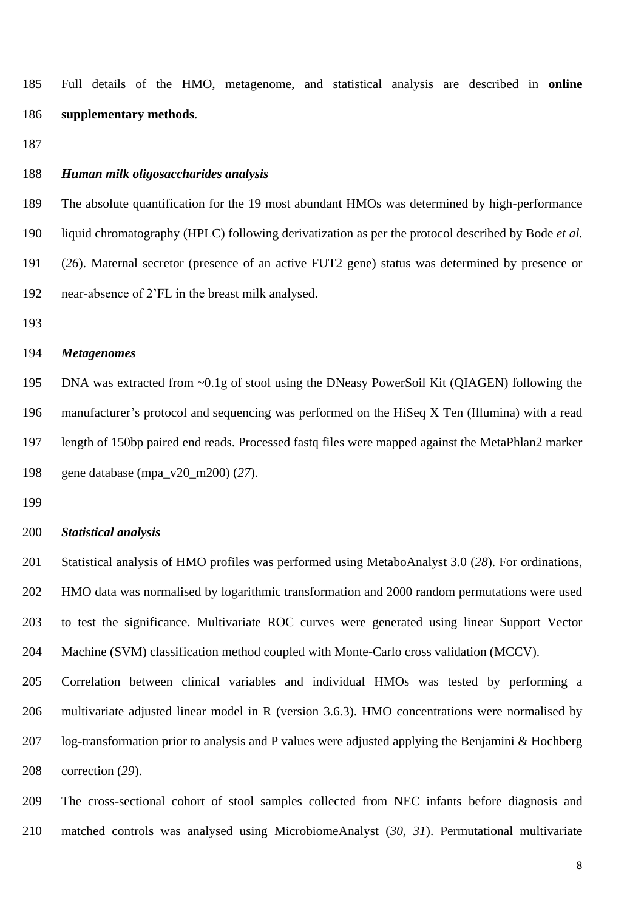Full details of the HMO, metagenome, and statistical analysis are described in **online supplementary methods**.

# *Human milk oligosaccharides analysis*

 The absolute quantification for the 19 most abundant HMOs was determined by high-performance liquid chromatography (HPLC) following derivatization as per the protocol described by Bode *et al.* (*26*). Maternal secretor (presence of an active FUT2 gene) status was determined by presence or near-absence of 2'FL in the breast milk analysed.

# *Metagenomes*

 DNA was extracted from ~0.1g of stool using the DNeasy PowerSoil Kit (QIAGEN) following the manufacturer's protocol and sequencing was performed on the HiSeq X Ten (Illumina) with a read length of 150bp paired end reads. Processed fastq files were mapped against the MetaPhlan2 marker gene database (mpa\_v20\_m200) (*27*).

# *Statistical analysis*

 Statistical analysis of HMO profiles was performed using MetaboAnalyst 3.0 (*28*). For ordinations, HMO data was normalised by logarithmic transformation and 2000 random permutations were used to test the significance. Multivariate ROC curves were generated using linear Support Vector Machine (SVM) classification method coupled with Monte-Carlo cross validation (MCCV).

 Correlation between clinical variables and individual HMOs was tested by performing a multivariate adjusted linear model in R (version 3.6.3). HMO concentrations were normalised by log-transformation prior to analysis and P values were adjusted applying the Benjamini & Hochberg correction (*29*).

 The cross-sectional cohort of stool samples collected from NEC infants before diagnosis and matched controls was analysed using MicrobiomeAnalyst (*30, 31*). Permutational multivariate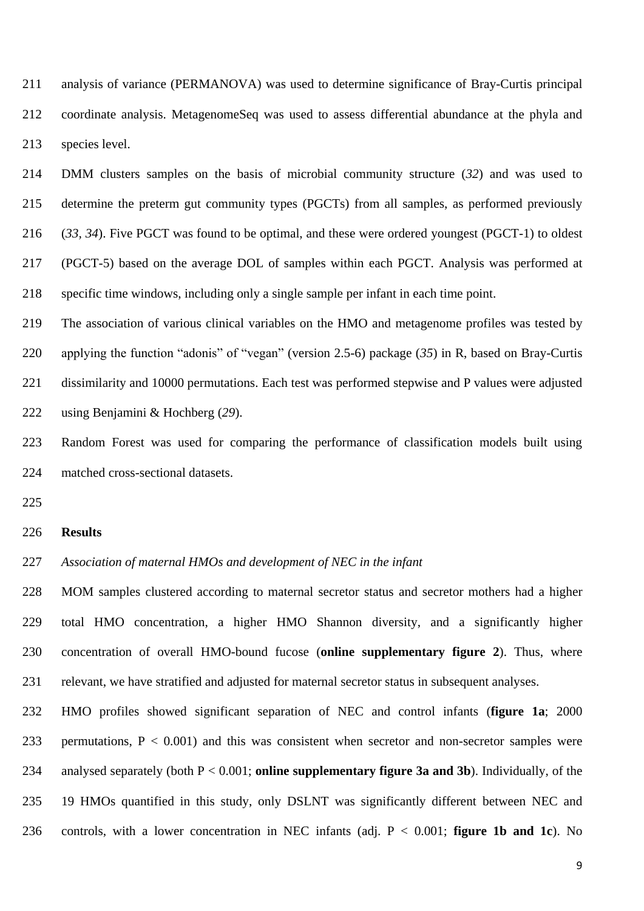analysis of variance (PERMANOVA) was used to determine significance of Bray-Curtis principal coordinate analysis. MetagenomeSeq was used to assess differential abundance at the phyla and species level.

 DMM clusters samples on the basis of microbial community structure (*32*) and was used to determine the preterm gut community types (PGCTs) from all samples, as performed previously (*33, 34*). Five PGCT was found to be optimal, and these were ordered youngest (PGCT-1) to oldest (PGCT-5) based on the average DOL of samples within each PGCT. Analysis was performed at specific time windows, including only a single sample per infant in each time point.

 The association of various clinical variables on the HMO and metagenome profiles was tested by applying the function "adonis" of "vegan" (version 2.5-6) package (*35*) in R, based on Bray-Curtis dissimilarity and 10000 permutations. Each test was performed stepwise and P values were adjusted using Benjamini & Hochberg (*29*).

 Random Forest was used for comparing the performance of classification models built using matched cross-sectional datasets.

#### **Results**

*Association of maternal HMOs and development of NEC in the infant*

 MOM samples clustered according to maternal secretor status and secretor mothers had a higher total HMO concentration, a higher HMO Shannon diversity, and a significantly higher concentration of overall HMO-bound fucose (**online supplementary figure 2**). Thus, where relevant, we have stratified and adjusted for maternal secretor status in subsequent analyses.

 HMO profiles showed significant separation of NEC and control infants (**figure 1a**; 2000 233 permutations,  $P < 0.001$ ) and this was consistent when secretor and non-secretor samples were analysed separately (both P < 0.001; **online supplementary figure 3a and 3b**). Individually, of the 19 HMOs quantified in this study, only DSLNT was significantly different between NEC and controls, with a lower concentration in NEC infants (adj. P < 0.001; **figure 1b and 1c**). No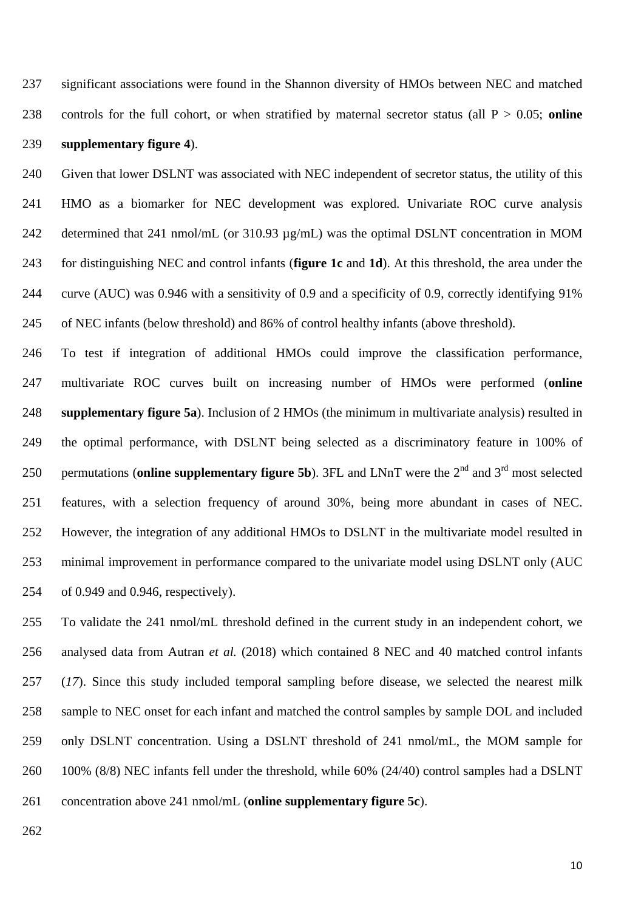significant associations were found in the Shannon diversity of HMOs between NEC and matched controls for the full cohort, or when stratified by maternal secretor status (all P > 0.05; **online supplementary figure 4**).

 Given that lower DSLNT was associated with NEC independent of secretor status, the utility of this HMO as a biomarker for NEC development was explored. Univariate ROC curve analysis 242 determined that 241 nmol/mL (or 310.93  $\mu$ g/mL) was the optimal DSLNT concentration in MOM for distinguishing NEC and control infants (**figure 1c** and **1d**). At this threshold, the area under the curve (AUC) was 0.946 with a sensitivity of 0.9 and a specificity of 0.9, correctly identifying 91% of NEC infants (below threshold) and 86% of control healthy infants (above threshold).

 To test if integration of additional HMOs could improve the classification performance, multivariate ROC curves built on increasing number of HMOs were performed (**online supplementary figure 5a**). Inclusion of 2 HMOs (the minimum in multivariate analysis) resulted in the optimal performance, with DSLNT being selected as a discriminatory feature in 100% of 250 permutations (**online supplementary figure 5b**). 3FL and LNnT were the  $2<sup>nd</sup>$  and  $3<sup>rd</sup>$  most selected features, with a selection frequency of around 30%, being more abundant in cases of NEC. However, the integration of any additional HMOs to DSLNT in the multivariate model resulted in minimal improvement in performance compared to the univariate model using DSLNT only (AUC of 0.949 and 0.946, respectively).

 To validate the 241 nmol/mL threshold defined in the current study in an independent cohort, we analysed data from Autran *et al.* (2018) which contained 8 NEC and 40 matched control infants (*17*). Since this study included temporal sampling before disease, we selected the nearest milk sample to NEC onset for each infant and matched the control samples by sample DOL and included only DSLNT concentration. Using a DSLNT threshold of 241 nmol/mL, the MOM sample for 100% (8/8) NEC infants fell under the threshold, while 60% (24/40) control samples had a DSLNT concentration above 241 nmol/mL (**online supplementary figure 5c**).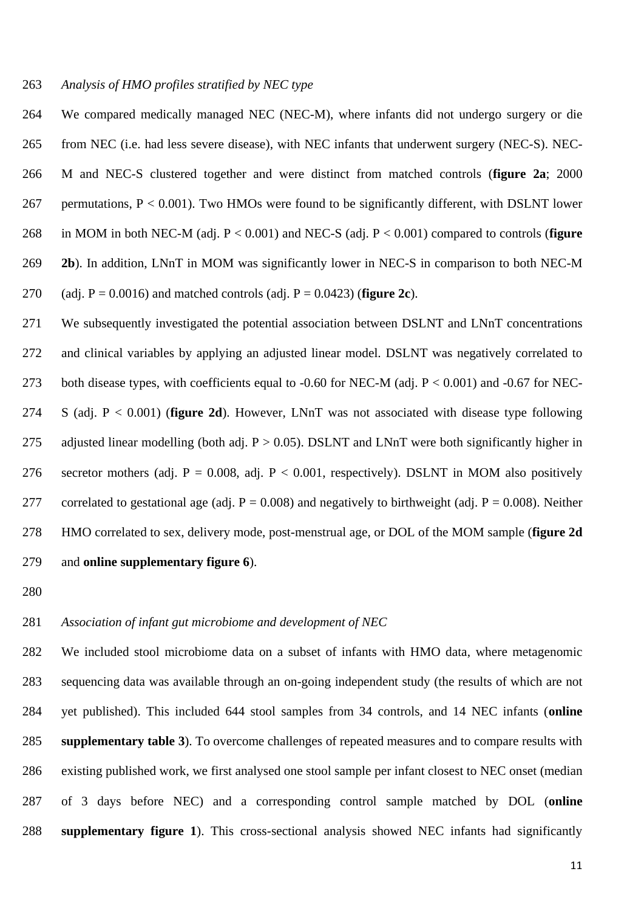#### *Analysis of HMO profiles stratified by NEC type*

 We compared medically managed NEC (NEC-M), where infants did not undergo surgery or die from NEC (i.e. had less severe disease), with NEC infants that underwent surgery (NEC-S). NEC- M and NEC-S clustered together and were distinct from matched controls (**figure 2a**; 2000 267 permutations,  $P < 0.001$ ). Two HMOs were found to be significantly different, with DSLNT lower in MOM in both NEC-M (adj. P < 0.001) and NEC-S (adj. P < 0.001) compared to controls (**figure 2b**). In addition, LNnT in MOM was significantly lower in NEC-S in comparison to both NEC-M (adj. P = 0.0016) and matched controls (adj. P = 0.0423) (**figure 2c**).

 We subsequently investigated the potential association between DSLNT and LNnT concentrations and clinical variables by applying an adjusted linear model. DSLNT was negatively correlated to both disease types, with coefficients equal to -0.60 for NEC-M (adj. P < 0.001) and -0.67 for NEC- S (adj. P < 0.001) (**figure 2d**). However, LNnT was not associated with disease type following 275 adjusted linear modelling (both adj.  $P > 0.05$ ). DSLNT and LNnT were both significantly higher in 276 secretor mothers (adj. P = 0.008, adj. P < 0.001, respectively). DSLNT in MOM also positively 277 correlated to gestational age (adj.  $P = 0.008$ ) and negatively to birthweight (adj.  $P = 0.008$ ). Neither HMO correlated to sex, delivery mode, post-menstrual age, or DOL of the MOM sample (**figure 2d** and **online supplementary figure 6**).

# *Association of infant gut microbiome and development of NEC*

 We included stool microbiome data on a subset of infants with HMO data, where metagenomic sequencing data was available through an on-going independent study (the results of which are not yet published). This included 644 stool samples from 34 controls, and 14 NEC infants (**online supplementary table 3**). To overcome challenges of repeated measures and to compare results with existing published work, we first analysed one stool sample per infant closest to NEC onset (median of 3 days before NEC) and a corresponding control sample matched by DOL (**online supplementary figure 1**). This cross-sectional analysis showed NEC infants had significantly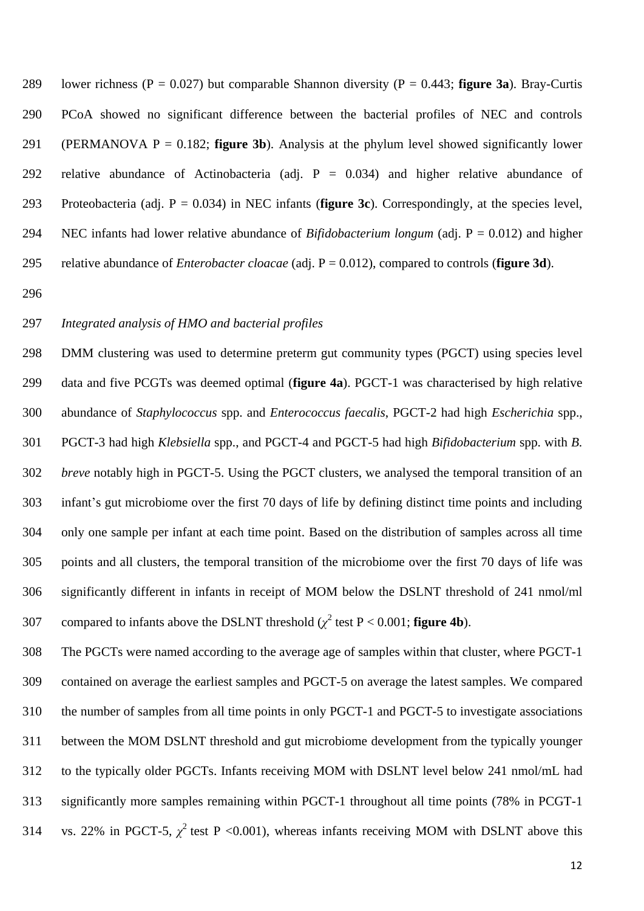lower richness (P = 0.027) but comparable Shannon diversity (P = 0.443; **figure 3a**). Bray-Curtis PCoA showed no significant difference between the bacterial profiles of NEC and controls (PERMANOVA P = 0.182; **figure 3b**). Analysis at the phylum level showed significantly lower relative abundance of Actinobacteria (adj. P = 0.034) and higher relative abundance of Proteobacteria (adj. P = 0.034) in NEC infants (**figure 3c**). Correspondingly, at the species level, NEC infants had lower relative abundance of *Bifidobacterium longum* (adj. P = 0.012) and higher relative abundance of *Enterobacter cloacae* (adj. P = 0.012), compared to controls (**figure 3d**).

#### *Integrated analysis of HMO and bacterial profiles*

 DMM clustering was used to determine preterm gut community types (PGCT) using species level data and five PCGTs was deemed optimal (**figure 4a**). PGCT-1 was characterised by high relative abundance of *Staphylococcus* spp. and *Enterococcus faecalis*, PGCT-2 had high *Escherichia* spp., PGCT-3 had high *Klebsiella* spp., and PGCT-4 and PGCT-5 had high *Bifidobacterium* spp. with *B. breve* notably high in PGCT-5. Using the PGCT clusters, we analysed the temporal transition of an infant's gut microbiome over the first 70 days of life by defining distinct time points and including only one sample per infant at each time point. Based on the distribution of samples across all time points and all clusters, the temporal transition of the microbiome over the first 70 days of life was significantly different in infants in receipt of MOM below the DSLNT threshold of 241 nmol/ml compared to infants above the DSLNT threshold  $(\chi^2 \text{ test P} < 0.001; \text{ figure 4b}).$ 

 The PGCTs were named according to the average age of samples within that cluster, where PGCT-1 contained on average the earliest samples and PGCT-5 on average the latest samples. We compared the number of samples from all time points in only PGCT-1 and PGCT-5 to investigate associations between the MOM DSLNT threshold and gut microbiome development from the typically younger to the typically older PGCTs. Infants receiving MOM with DSLNT level below 241 nmol/mL had significantly more samples remaining within PGCT-1 throughout all time points (78% in PCGT-1 314 vs. 22% in PGCT-5,  $\chi^2$  test P <0.001), whereas infants receiving MOM with DSLNT above this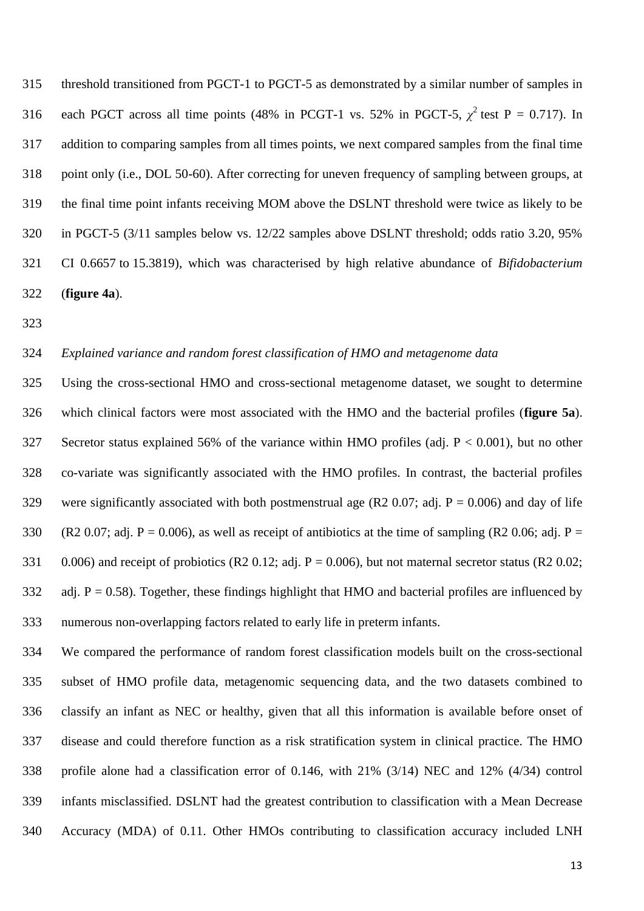threshold transitioned from PGCT-1 to PGCT-5 as demonstrated by a similar number of samples in 316 each PGCT across all time points (48% in PCGT-1 vs. 52% in PGCT-5,  $\chi^2$  test P = 0.717). In addition to comparing samples from all times points, we next compared samples from the final time point only (i.e., DOL 50-60). After correcting for uneven frequency of sampling between groups, at the final time point infants receiving MOM above the DSLNT threshold were twice as likely to be in PGCT-5 (3/11 samples below vs. 12/22 samples above DSLNT threshold; odds ratio 3.20, 95% CI 0.6657 to 15.3819), which was characterised by high relative abundance of *Bifidobacterium*  (**figure 4a**).

# *Explained variance and random forest classification of HMO and metagenome data*

 Using the cross-sectional HMO and cross-sectional metagenome dataset, we sought to determine which clinical factors were most associated with the HMO and the bacterial profiles (**figure 5a**). Secretor status explained 56% of the variance within HMO profiles (adj. P < 0.001), but no other co-variate was significantly associated with the HMO profiles. In contrast, the bacterial profiles 329 were significantly associated with both postmenstrual age (R2 0.07; adj.  $P = 0.006$ ) and day of life 330 (R2 0.07; adj. P = 0.006), as well as receipt of antibiotics at the time of sampling (R2 0.06; adj. P = 331 0.006) and receipt of probiotics (R2 0.12; adj.  $P = 0.006$ ), but not maternal secretor status (R2 0.02; 332 adj.  $P = 0.58$ ). Together, these findings highlight that HMO and bacterial profiles are influenced by numerous non-overlapping factors related to early life in preterm infants.

 We compared the performance of random forest classification models built on the cross-sectional subset of HMO profile data, metagenomic sequencing data, and the two datasets combined to classify an infant as NEC or healthy, given that all this information is available before onset of disease and could therefore function as a risk stratification system in clinical practice. The HMO profile alone had a classification error of 0.146, with 21% (3/14) NEC and 12% (4/34) control infants misclassified. DSLNT had the greatest contribution to classification with a Mean Decrease Accuracy (MDA) of 0.11. Other HMOs contributing to classification accuracy included LNH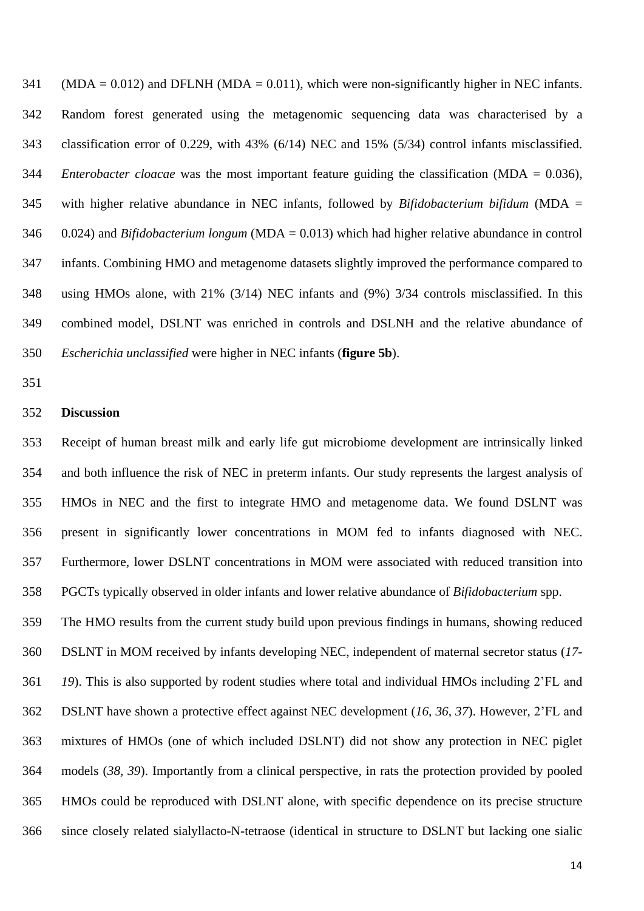(MDA = 0.012) and DFLNH (MDA = 0.011), which were non-significantly higher in NEC infants. Random forest generated using the metagenomic sequencing data was characterised by a classification error of 0.229, with 43% (6/14) NEC and 15% (5/34) control infants misclassified. *Enterobacter cloacae* was the most important feature guiding the classification (MDA = 0.036), with higher relative abundance in NEC infants, followed by *Bifidobacterium bifidum* (MDA = 0.024) and *Bifidobacterium longum* (MDA = 0.013) which had higher relative abundance in control infants. Combining HMO and metagenome datasets slightly improved the performance compared to using HMOs alone, with 21% (3/14) NEC infants and (9%) 3/34 controls misclassified. In this combined model, DSLNT was enriched in controls and DSLNH and the relative abundance of *Escherichia unclassified* were higher in NEC infants (**figure 5b**).

#### **Discussion**

 Receipt of human breast milk and early life gut microbiome development are intrinsically linked and both influence the risk of NEC in preterm infants. Our study represents the largest analysis of HMOs in NEC and the first to integrate HMO and metagenome data. We found DSLNT was present in significantly lower concentrations in MOM fed to infants diagnosed with NEC. Furthermore, lower DSLNT concentrations in MOM were associated with reduced transition into PGCTs typically observed in older infants and lower relative abundance of *Bifidobacterium* spp.

 The HMO results from the current study build upon previous findings in humans, showing reduced DSLNT in MOM received by infants developing NEC, independent of maternal secretor status (*17- 19*). This is also supported by rodent studies where total and individual HMOs including 2'FL and DSLNT have shown a protective effect against NEC development (*16, 36, 37*). However, 2'FL and mixtures of HMOs (one of which included DSLNT) did not show any protection in NEC piglet models (*38, 39*). Importantly from a clinical perspective, in rats the protection provided by pooled HMOs could be reproduced with DSLNT alone, with specific dependence on its precise structure since closely related sialyllacto-N-tetraose (identical in structure to DSLNT but lacking one sialic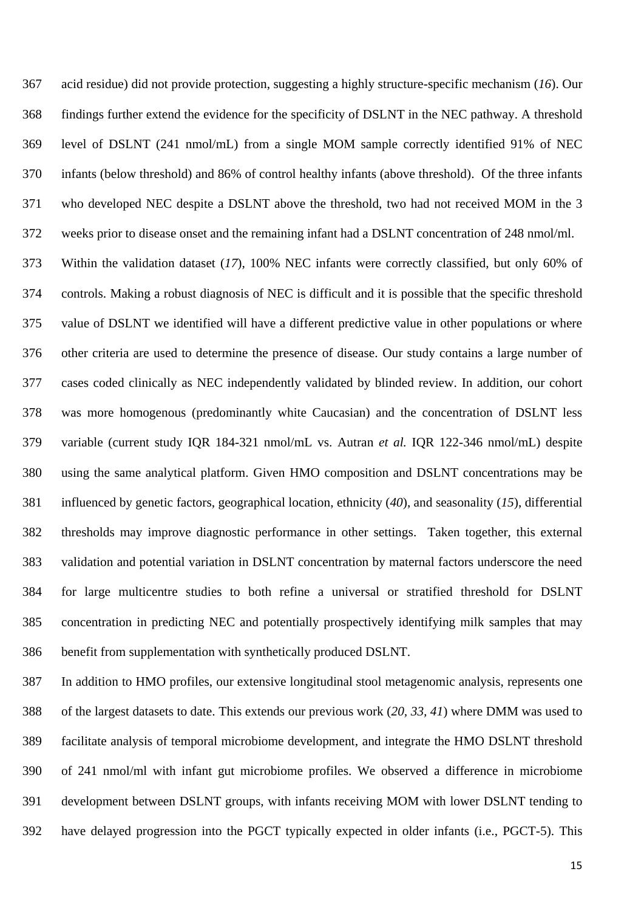acid residue) did not provide protection, suggesting a highly structure-specific mechanism (*16*). Our findings further extend the evidence for the specificity of DSLNT in the NEC pathway. A threshold level of DSLNT (241 nmol/mL) from a single MOM sample correctly identified 91% of NEC infants (below threshold) and 86% of control healthy infants (above threshold). Of the three infants who developed NEC despite a DSLNT above the threshold, two had not received MOM in the 3 weeks prior to disease onset and the remaining infant had a DSLNT concentration of 248 nmol/ml.

 Within the validation dataset (*17*), 100% NEC infants were correctly classified, but only 60% of controls. Making a robust diagnosis of NEC is difficult and it is possible that the specific threshold value of DSLNT we identified will have a different predictive value in other populations or where other criteria are used to determine the presence of disease. Our study contains a large number of cases coded clinically as NEC independently validated by blinded review. In addition, our cohort was more homogenous (predominantly white Caucasian) and the concentration of DSLNT less variable (current study IQR 184-321 nmol/mL vs. Autran *et al.* IQR 122-346 nmol/mL) despite using the same analytical platform. Given HMO composition and DSLNT concentrations may be influenced by genetic factors, geographical location, ethnicity (*40*), and seasonality (*15*), differential thresholds may improve diagnostic performance in other settings. Taken together, this external validation and potential variation in DSLNT concentration by maternal factors underscore the need for large multicentre studies to both refine a universal or stratified threshold for DSLNT concentration in predicting NEC and potentially prospectively identifying milk samples that may benefit from supplementation with synthetically produced DSLNT.

 In addition to HMO profiles, our extensive longitudinal stool metagenomic analysis, represents one of the largest datasets to date. This extends our previous work (*20, 33, 41*) where DMM was used to facilitate analysis of temporal microbiome development, and integrate the HMO DSLNT threshold of 241 nmol/ml with infant gut microbiome profiles. We observed a difference in microbiome development between DSLNT groups, with infants receiving MOM with lower DSLNT tending to have delayed progression into the PGCT typically expected in older infants (i.e., PGCT-5). This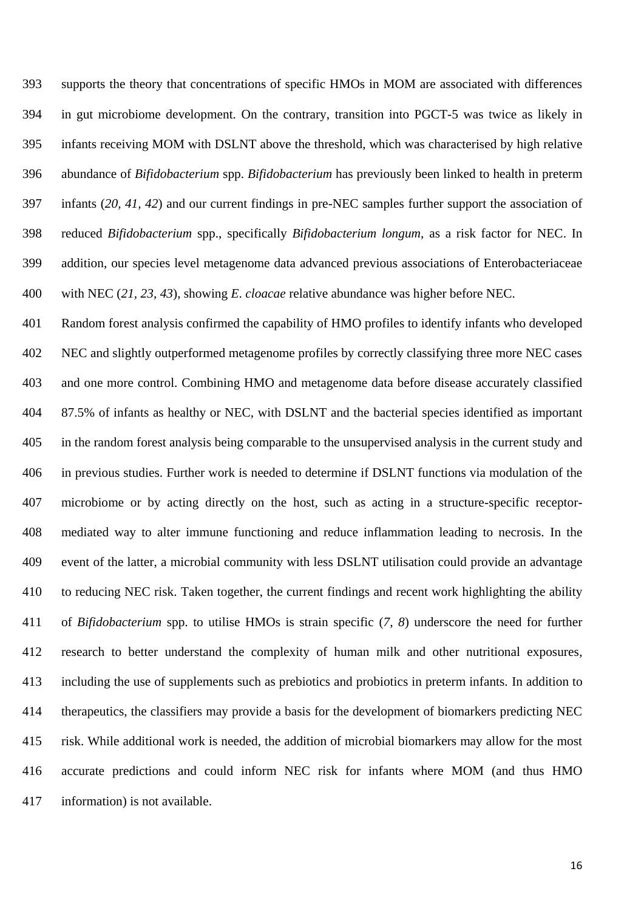supports the theory that concentrations of specific HMOs in MOM are associated with differences in gut microbiome development. On the contrary, transition into PGCT-5 was twice as likely in infants receiving MOM with DSLNT above the threshold, which was characterised by high relative abundance of *Bifidobacterium* spp. *Bifidobacterium* has previously been linked to health in preterm infants (*20, 41, 42*) and our current findings in pre-NEC samples further support the association of reduced *Bifidobacterium* spp., specifically *Bifidobacterium longum*, as a risk factor for NEC. In addition, our species level metagenome data advanced previous associations of Enterobacteriaceae with NEC (*21, 23, 43*), showing *E*. *cloacae* relative abundance was higher before NEC.

 Random forest analysis confirmed the capability of HMO profiles to identify infants who developed NEC and slightly outperformed metagenome profiles by correctly classifying three more NEC cases and one more control. Combining HMO and metagenome data before disease accurately classified 87.5% of infants as healthy or NEC, with DSLNT and the bacterial species identified as important in the random forest analysis being comparable to the unsupervised analysis in the current study and in previous studies. Further work is needed to determine if DSLNT functions via modulation of the microbiome or by acting directly on the host, such as acting in a structure-specific receptor- mediated way to alter immune functioning and reduce inflammation leading to necrosis. In the event of the latter, a microbial community with less DSLNT utilisation could provide an advantage to reducing NEC risk. Taken together, the current findings and recent work highlighting the ability of *Bifidobacterium* spp. to utilise HMOs is strain specific (*7, 8*) underscore the need for further research to better understand the complexity of human milk and other nutritional exposures, including the use of supplements such as prebiotics and probiotics in preterm infants. In addition to therapeutics, the classifiers may provide a basis for the development of biomarkers predicting NEC risk. While additional work is needed, the addition of microbial biomarkers may allow for the most accurate predictions and could inform NEC risk for infants where MOM (and thus HMO information) is not available.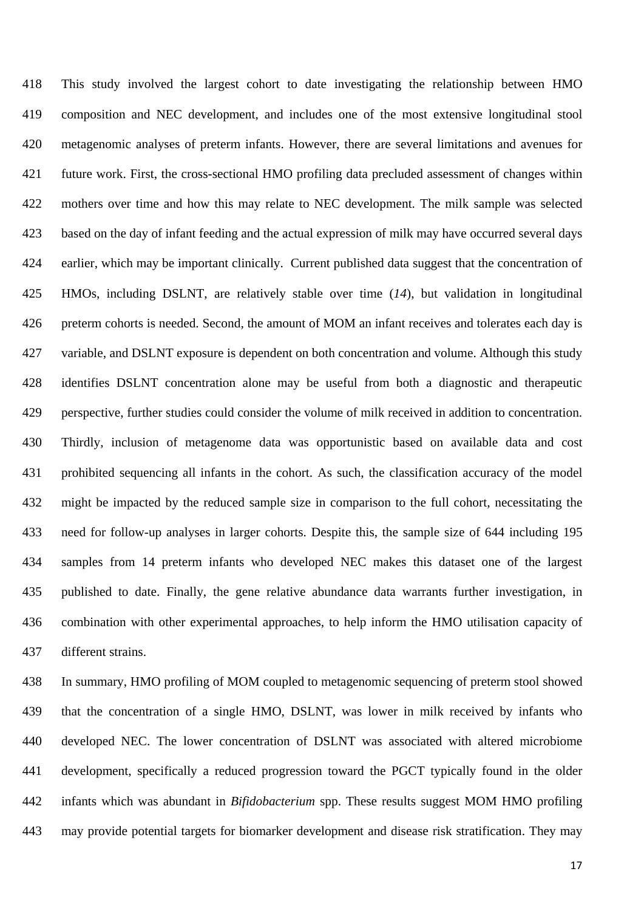This study involved the largest cohort to date investigating the relationship between HMO composition and NEC development, and includes one of the most extensive longitudinal stool metagenomic analyses of preterm infants. However, there are several limitations and avenues for future work. First, the cross-sectional HMO profiling data precluded assessment of changes within mothers over time and how this may relate to NEC development. The milk sample was selected based on the day of infant feeding and the actual expression of milk may have occurred several days earlier, which may be important clinically. Current published data suggest that the concentration of HMOs, including DSLNT, are relatively stable over time (*14*), but validation in longitudinal preterm cohorts is needed. Second, the amount of MOM an infant receives and tolerates each day is variable, and DSLNT exposure is dependent on both concentration and volume. Although this study identifies DSLNT concentration alone may be useful from both a diagnostic and therapeutic perspective, further studies could consider the volume of milk received in addition to concentration. Thirdly, inclusion of metagenome data was opportunistic based on available data and cost prohibited sequencing all infants in the cohort. As such, the classification accuracy of the model might be impacted by the reduced sample size in comparison to the full cohort, necessitating the need for follow-up analyses in larger cohorts. Despite this, the sample size of 644 including 195 samples from 14 preterm infants who developed NEC makes this dataset one of the largest published to date. Finally, the gene relative abundance data warrants further investigation, in combination with other experimental approaches, to help inform the HMO utilisation capacity of different strains.

 In summary, HMO profiling of MOM coupled to metagenomic sequencing of preterm stool showed that the concentration of a single HMO, DSLNT, was lower in milk received by infants who developed NEC. The lower concentration of DSLNT was associated with altered microbiome development, specifically a reduced progression toward the PGCT typically found in the older infants which was abundant in *Bifidobacterium* spp. These results suggest MOM HMO profiling may provide potential targets for biomarker development and disease risk stratification. They may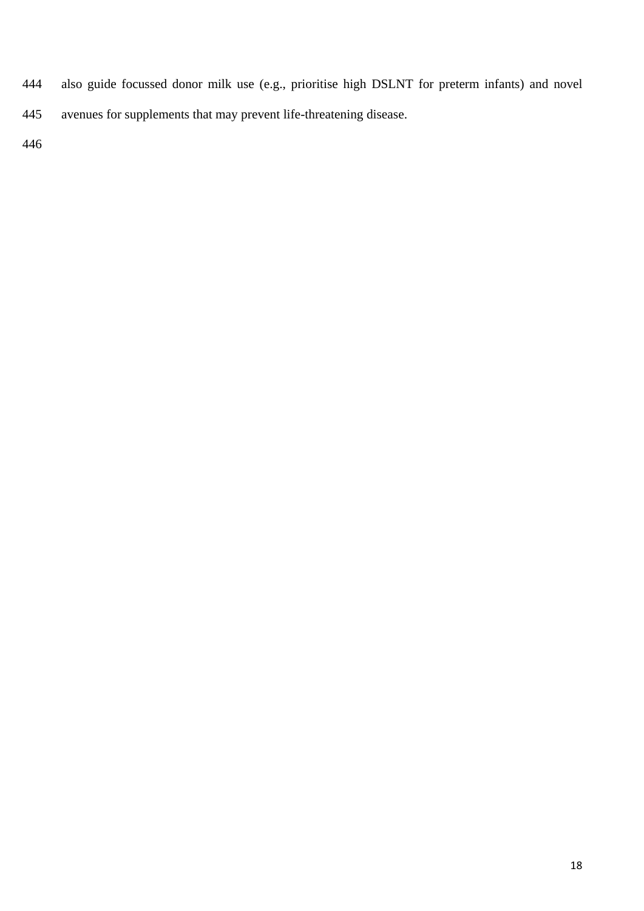- also guide focussed donor milk use (e.g., prioritise high DSLNT for preterm infants) and novel
- avenues for supplements that may prevent life-threatening disease.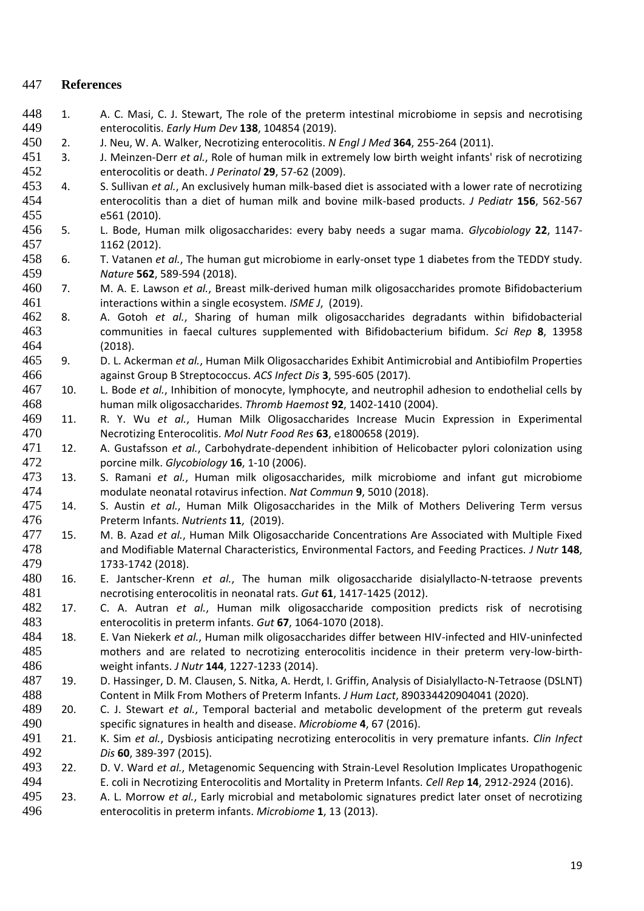# **References**

- 448 1. A. C. Masi, C. J. Stewart, The role of the preterm intestinal microbiome in sepsis and necrotising enterocolitis. *Early Hum Dev* **138**, 104854 (2019).
- 2. J. Neu, W. A. Walker, Necrotizing enterocolitis. *N Engl J Med* **364**, 255-264 (2011).
- 3. J. Meinzen-Derr *et al.*, Role of human milk in extremely low birth weight infants' risk of necrotizing enterocolitis or death. *J Perinatol* **29**, 57-62 (2009).
- 4. S. Sullivan *et al.*, An exclusively human milk-based diet is associated with a lower rate of necrotizing enterocolitis than a diet of human milk and bovine milk-based products. *J Pediatr* **156**, 562-567 e561 (2010).
- 5. L. Bode, Human milk oligosaccharides: every baby needs a sugar mama. *Glycobiology* **22**, 1147- 1162 (2012).
- 6. T. Vatanen *et al.*, The human gut microbiome in early-onset type 1 diabetes from the TEDDY study. *Nature* **562**, 589-594 (2018).
- 7. M. A. E. Lawson *et al.*, Breast milk-derived human milk oligosaccharides promote Bifidobacterium interactions within a single ecosystem. *ISME J*, (2019).
- 8. A. Gotoh *et al.*, Sharing of human milk oligosaccharides degradants within bifidobacterial communities in faecal cultures supplemented with Bifidobacterium bifidum. *Sci Rep* **8**, 13958 (2018).
- 9. D. L. Ackerman *et al.*, Human Milk Oligosaccharides Exhibit Antimicrobial and Antibiofilm Properties against Group B Streptococcus. *ACS Infect Dis* **3**, 595-605 (2017).
- 10. L. Bode *et al.*, Inhibition of monocyte, lymphocyte, and neutrophil adhesion to endothelial cells by human milk oligosaccharides. *Thromb Haemost* **92**, 1402-1410 (2004).
- 11. R. Y. Wu *et al.*, Human Milk Oligosaccharides Increase Mucin Expression in Experimental Necrotizing Enterocolitis. *Mol Nutr Food Res* **63**, e1800658 (2019).
- 12. A. Gustafsson *et al.*, Carbohydrate-dependent inhibition of Helicobacter pylori colonization using porcine milk. *Glycobiology* **16**, 1-10 (2006).
- 13. S. Ramani *et al.*, Human milk oligosaccharides, milk microbiome and infant gut microbiome modulate neonatal rotavirus infection. *Nat Commun* **9**, 5010 (2018).
- 14. S. Austin *et al.*, Human Milk Oligosaccharides in the Milk of Mothers Delivering Term versus Preterm Infants. *Nutrients* **11**, (2019).
- 15. M. B. Azad *et al.*, Human Milk Oligosaccharide Concentrations Are Associated with Multiple Fixed and Modifiable Maternal Characteristics, Environmental Factors, and Feeding Practices. *J Nutr* **148**, 1733-1742 (2018).
- 16. E. Jantscher-Krenn *et al.*, The human milk oligosaccharide disialyllacto-N-tetraose prevents necrotising enterocolitis in neonatal rats. *Gut* **61**, 1417-1425 (2012).
- 17. C. A. Autran *et al.*, Human milk oligosaccharide composition predicts risk of necrotising enterocolitis in preterm infants. *Gut* **67**, 1064-1070 (2018).
- 18. E. Van Niekerk *et al.*, Human milk oligosaccharides differ between HIV-infected and HIV-uninfected mothers and are related to necrotizing enterocolitis incidence in their preterm very-low-birth-weight infants. *J Nutr* **144**, 1227-1233 (2014).
- 19. D. Hassinger, D. M. Clausen, S. Nitka, A. Herdt, I. Griffin, Analysis of Disialyllacto-N-Tetraose (DSLNT) Content in Milk From Mothers of Preterm Infants. *J Hum Lact*, 890334420904041 (2020).
- 20. C. J. Stewart *et al.*, Temporal bacterial and metabolic development of the preterm gut reveals specific signatures in health and disease. *Microbiome* **4**, 67 (2016).
- 21. K. Sim *et al.*, Dysbiosis anticipating necrotizing enterocolitis in very premature infants. *Clin Infect Dis* **60**, 389-397 (2015).
- 22. D. V. Ward *et al.*, Metagenomic Sequencing with Strain-Level Resolution Implicates Uropathogenic E. coli in Necrotizing Enterocolitis and Mortality in Preterm Infants. *Cell Rep* **14**, 2912-2924 (2016).
- 23. A. L. Morrow *et al.*, Early microbial and metabolomic signatures predict later onset of necrotizing enterocolitis in preterm infants. *Microbiome* **1**, 13 (2013).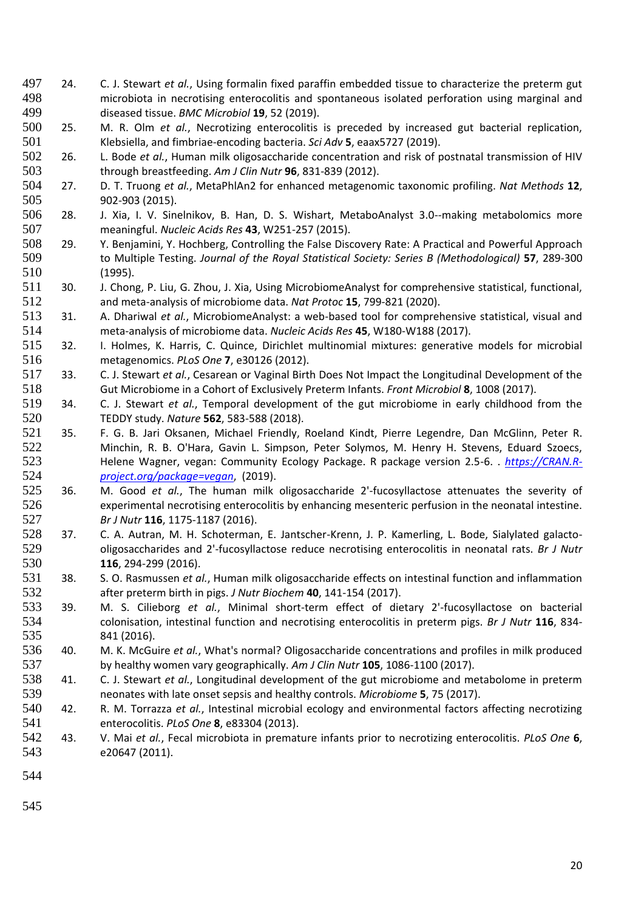- 24. C. J. Stewart *et al.*, Using formalin fixed paraffin embedded tissue to characterize the preterm gut microbiota in necrotising enterocolitis and spontaneous isolated perforation using marginal and diseased tissue. *BMC Microbiol* **19**, 52 (2019).
- 25. M. R. Olm *et al.*, Necrotizing enterocolitis is preceded by increased gut bacterial replication, Klebsiella, and fimbriae-encoding bacteria. *Sci Adv* **5**, eaax5727 (2019).
- 26. L. Bode *et al.*, Human milk oligosaccharide concentration and risk of postnatal transmission of HIV through breastfeeding. *Am J Clin Nutr* **96**, 831-839 (2012).
- 27. D. T. Truong *et al.*, MetaPhlAn2 for enhanced metagenomic taxonomic profiling. *Nat Methods* **12**, 902-903 (2015).
- 28. J. Xia, I. V. Sinelnikov, B. Han, D. S. Wishart, MetaboAnalyst 3.0--making metabolomics more meaningful. *Nucleic Acids Res* **43**, W251-257 (2015).
- 29. Y. Benjamini, Y. Hochberg, Controlling the False Discovery Rate: A Practical and Powerful Approach to Multiple Testing. *Journal of the Royal Statistical Society: Series B (Methodological)* **57**, 289-300 (1995).
- 30. J. Chong, P. Liu, G. Zhou, J. Xia, Using MicrobiomeAnalyst for comprehensive statistical, functional, and meta-analysis of microbiome data. *Nat Protoc* **15**, 799-821 (2020).
- 31. A. Dhariwal *et al.*, MicrobiomeAnalyst: a web-based tool for comprehensive statistical, visual and meta-analysis of microbiome data. *Nucleic Acids Res* **45**, W180-W188 (2017).
- 32. I. Holmes, K. Harris, C. Quince, Dirichlet multinomial mixtures: generative models for microbial metagenomics. *PLoS One* **7**, e30126 (2012).
- 33. C. J. Stewart *et al.*, Cesarean or Vaginal Birth Does Not Impact the Longitudinal Development of the Gut Microbiome in a Cohort of Exclusively Preterm Infants. *Front Microbiol* **8**, 1008 (2017).
- 34. C. J. Stewart *et al.*, Temporal development of the gut microbiome in early childhood from the TEDDY study. *Nature* **562**, 583-588 (2018).
- 35. F. G. B. Jari Oksanen, Michael Friendly, Roeland Kindt, Pierre Legendre, Dan McGlinn, Peter R. Minchin, R. B. O'Hara, Gavin L. Simpson, Peter Solymos, M. Henry H. Stevens, Eduard Szoecs, Helene Wagner, vegan: Community Ecology Package. R package version 2.5-6. . *[https://CRAN.R-](https://cran.r-project.org/package=vegan)[project.org/package=vegan](https://cran.r-project.org/package=vegan)*, (2019).
- 36. M. Good *et al.*, The human milk oligosaccharide 2'-fucosyllactose attenuates the severity of experimental necrotising enterocolitis by enhancing mesenteric perfusion in the neonatal intestine. *Br J Nutr* **116**, 1175-1187 (2016).
- 37. C. A. Autran, M. H. Schoterman, E. Jantscher-Krenn, J. P. Kamerling, L. Bode, Sialylated galacto- oligosaccharides and 2'-fucosyllactose reduce necrotising enterocolitis in neonatal rats. *Br J Nutr* **116**, 294-299 (2016).
- 38. S. O. Rasmussen *et al.*, Human milk oligosaccharide effects on intestinal function and inflammation after preterm birth in pigs. *J Nutr Biochem* **40**, 141-154 (2017).
- 39. M. S. Cilieborg *et al.*, Minimal short-term effect of dietary 2'-fucosyllactose on bacterial colonisation, intestinal function and necrotising enterocolitis in preterm pigs. *Br J Nutr* **116**, 834- 841 (2016).
- 40. M. K. McGuire *et al.*, What's normal? Oligosaccharide concentrations and profiles in milk produced by healthy women vary geographically. *Am J Clin Nutr* **105**, 1086-1100 (2017).
- 41. C. J. Stewart *et al.*, Longitudinal development of the gut microbiome and metabolome in preterm neonates with late onset sepsis and healthy controls. *Microbiome* **5**, 75 (2017).
- 42. R. M. Torrazza *et al.*, Intestinal microbial ecology and environmental factors affecting necrotizing enterocolitis. *PLoS One* **8**, e83304 (2013).
- 43. V. Mai *et al.*, Fecal microbiota in premature infants prior to necrotizing enterocolitis. *PLoS One* **6**, e20647 (2011).
-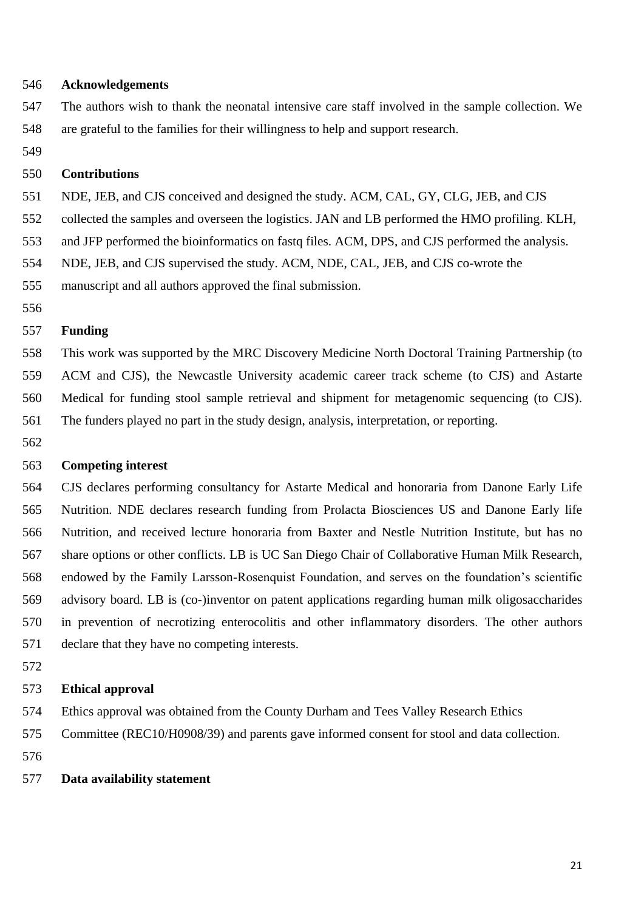#### **Acknowledgements**

- The authors wish to thank the neonatal intensive care staff involved in the sample collection. We are grateful to the families for their willingness to help and support research.
- 

# **Contributions**

- NDE, JEB, and CJS conceived and designed the study. ACM, CAL, GY, CLG, JEB, and CJS
- collected the samples and overseen the logistics. JAN and LB performed the HMO profiling. KLH,
- and JFP performed the bioinformatics on fastq files. ACM, DPS, and CJS performed the analysis.
- NDE, JEB, and CJS supervised the study. ACM, NDE, CAL, JEB, and CJS co-wrote the

manuscript and all authors approved the final submission.

# **Funding**

 This work was supported by the MRC Discovery Medicine North Doctoral Training Partnership (to ACM and CJS), the Newcastle University academic career track scheme (to CJS) and Astarte Medical for funding stool sample retrieval and shipment for metagenomic sequencing (to CJS). The funders played no part in the study design, analysis, interpretation, or reporting.

#### **Competing interest**

 CJS declares performing consultancy for Astarte Medical and honoraria from Danone Early Life Nutrition. NDE declares research funding from Prolacta Biosciences US and Danone Early life Nutrition, and received lecture honoraria from Baxter and Nestle Nutrition Institute, but has no share options or other conflicts. LB is UC San Diego Chair of Collaborative Human Milk Research, endowed by the Family Larsson-Rosenquist Foundation, and serves on the foundation's scientific advisory board. LB is (co-)inventor on patent applications regarding human milk oligosaccharides in prevention of necrotizing enterocolitis and other inflammatory disorders. The other authors declare that they have no competing interests.

### **Ethical approval**

- Ethics approval was obtained from the County Durham and Tees Valley Research Ethics
- Committee (REC10/H0908/39) and parents gave informed consent for stool and data collection.
- 

# **Data availability statement**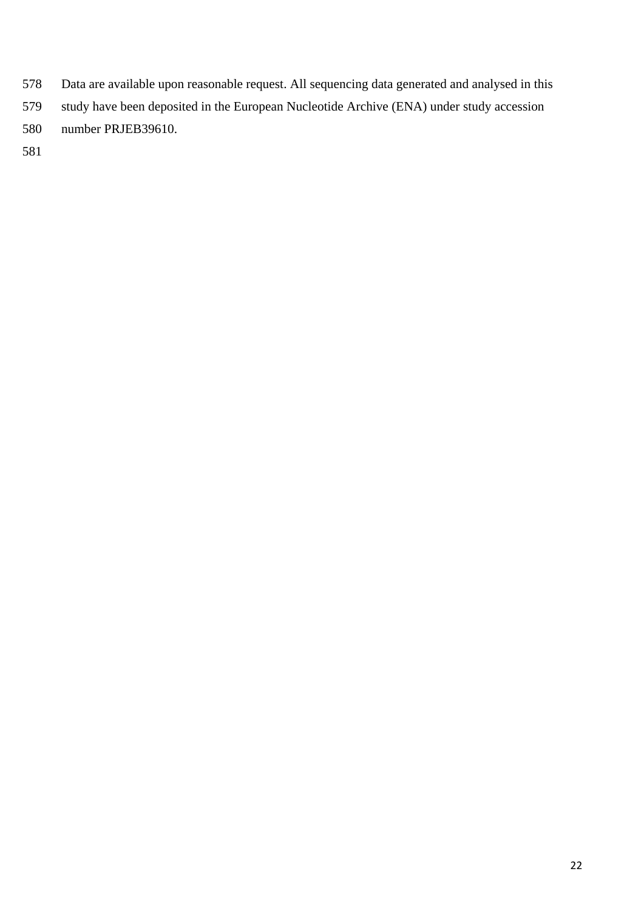- Data are available upon reasonable request. All sequencing data generated and analysed in this
- study have been deposited in the European Nucleotide Archive (ENA) under study accession
- number PRJEB39610.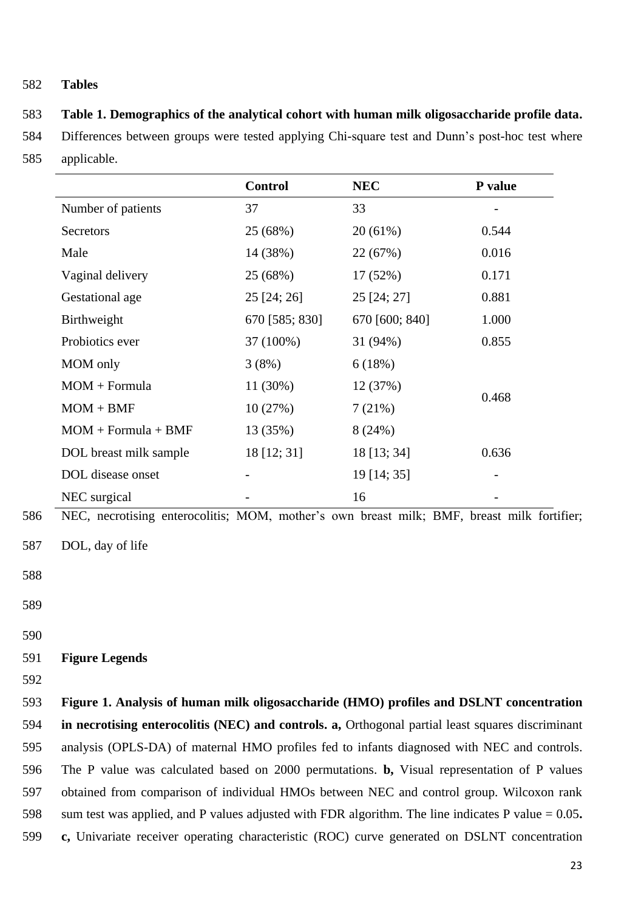# 582 **Tables**

# 583 **Table 1. Demographics of the analytical cohort with human milk oligosaccharide profile data.**

584 Differences between groups were tested applying Chi-square test and Dunn's post-hoc test where 585 applicable.

|                        | <b>Control</b> | <b>NEC</b>     | P value |
|------------------------|----------------|----------------|---------|
| Number of patients     | 37             | 33             |         |
| Secretors              | 25 (68%)       | 20(61%)        | 0.544   |
| Male                   | 14 (38%)       | 22 (67%)       | 0.016   |
| Vaginal delivery       | 25 (68%)       | 17 (52%)       | 0.171   |
| Gestational age        | $25$ [24; 26]  | 25 [24; 27]    | 0.881   |
| Birthweight            | 670 [585; 830] | 670 [600; 840] | 1.000   |
| Probiotics ever        | 37 (100%)      | 31 (94%)       | 0.855   |
| MOM only               | 3(8%)          | 6(18%)         |         |
| $MOM + Formula$        | $11(30\%)$     | 12 (37%)       | 0.468   |
| $MOM + BMF$            | 10(27%)        | 7(21%)         |         |
| $MOM + Formula + BMF$  | 13 (35%)       | 8(24%)         |         |
| DOL breast milk sample | 18 [12; 31]    | 18 [13; 34]    | 0.636   |
| DOL disease onset      |                | 19 [14; 35]    |         |
| NEC surgical           |                | 16             |         |

- 586 NEC, necrotising enterocolitis; MOM, mother's own breast milk; BMF, breast milk fortifier;
- 587 DOL, day of life
- 588
- 589

590

# 591 **Figure Legends**

592

 **Figure 1. Analysis of human milk oligosaccharide (HMO) profiles and DSLNT concentration in necrotising enterocolitis (NEC) and controls. a,** Orthogonal partial least squares discriminant analysis (OPLS-DA) of maternal HMO profiles fed to infants diagnosed with NEC and controls. The P value was calculated based on 2000 permutations. **b,** Visual representation of P values obtained from comparison of individual HMOs between NEC and control group. Wilcoxon rank sum test was applied, and P values adjusted with FDR algorithm. The line indicates P value = 0.05**. c,** Univariate receiver operating characteristic (ROC) curve generated on DSLNT concentration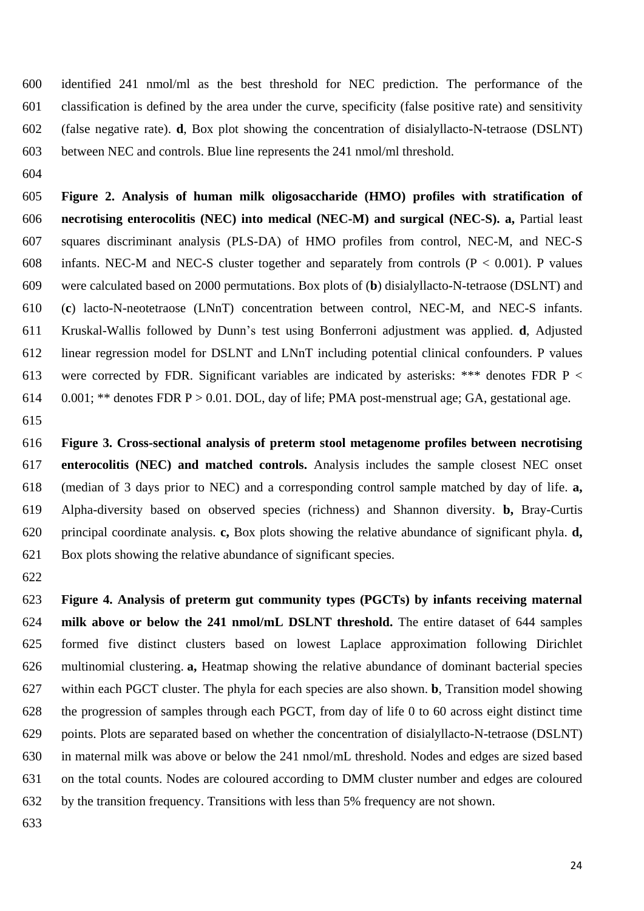identified 241 nmol/ml as the best threshold for NEC prediction. The performance of the classification is defined by the area under the curve, specificity (false positive rate) and sensitivity (false negative rate). **d**, Box plot showing the concentration of disialyllacto-N-tetraose (DSLNT) between NEC and controls. Blue line represents the 241 nmol/ml threshold.

 **Figure 2. Analysis of human milk oligosaccharide (HMO) profiles with stratification of necrotising enterocolitis (NEC) into medical (NEC-M) and surgical (NEC-S). a,** Partial least squares discriminant analysis (PLS-DA) of HMO profiles from control, NEC-M, and NEC-S 608 infants. NEC-M and NEC-S cluster together and separately from controls  $(P < 0.001)$ . P values were calculated based on 2000 permutations. Box plots of (**b**) disialyllacto-N-tetraose (DSLNT) and (**c**) lacto-N-neotetraose (LNnT) concentration between control, NEC-M, and NEC-S infants. Kruskal-Wallis followed by Dunn's test using Bonferroni adjustment was applied. **d**, Adjusted linear regression model for DSLNT and LNnT including potential clinical confounders. P values 613 were corrected by FDR. Significant variables are indicated by asterisks: \*\*\* denotes FDR  $P \lt C$ 0.001; \*\* denotes FDR P > 0.01. DOL, day of life; PMA post-menstrual age; GA, gestational age.

 **Figure 3. Cross-sectional analysis of preterm stool metagenome profiles between necrotising enterocolitis (NEC) and matched controls.** Analysis includes the sample closest NEC onset (median of 3 days prior to NEC) and a corresponding control sample matched by day of life. **a,** Alpha-diversity based on observed species (richness) and Shannon diversity. **b,** Bray-Curtis principal coordinate analysis. **c,** Box plots showing the relative abundance of significant phyla. **d,** Box plots showing the relative abundance of significant species.

 **Figure 4. Analysis of preterm gut community types (PGCTs) by infants receiving maternal milk above or below the 241 nmol/mL DSLNT threshold.** The entire dataset of 644 samples formed five distinct clusters based on lowest Laplace approximation following Dirichlet multinomial clustering. **a,** Heatmap showing the relative abundance of dominant bacterial species within each PGCT cluster. The phyla for each species are also shown. **b**, Transition model showing the progression of samples through each PGCT, from day of life 0 to 60 across eight distinct time points. Plots are separated based on whether the concentration of disialyllacto-N-tetraose (DSLNT) in maternal milk was above or below the 241 nmol/mL threshold. Nodes and edges are sized based on the total counts. Nodes are coloured according to DMM cluster number and edges are coloured by the transition frequency. Transitions with less than 5% frequency are not shown.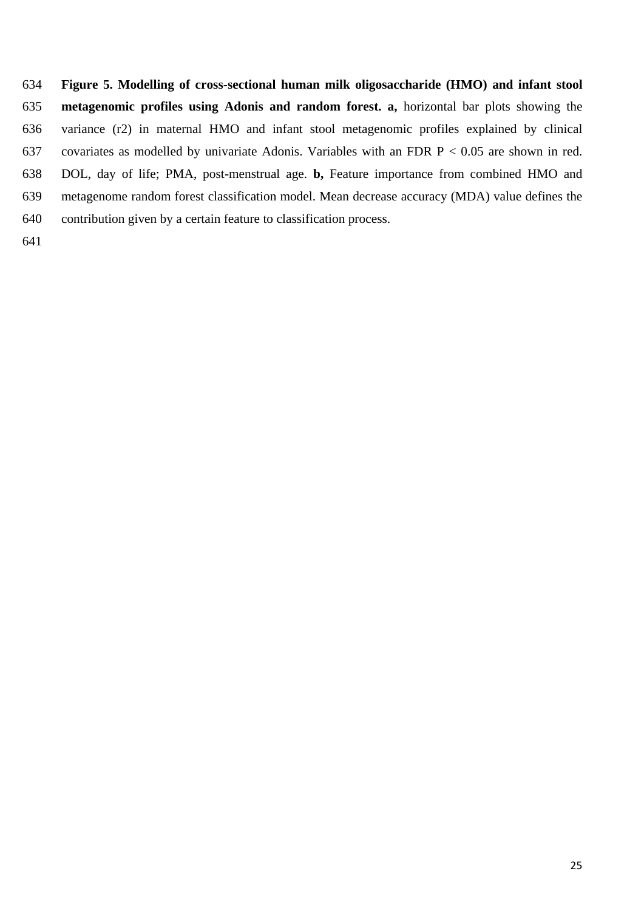- **Figure 5. Modelling of cross-sectional human milk oligosaccharide (HMO) and infant stool metagenomic profiles using Adonis and random forest. a,** horizontal bar plots showing the variance (r2) in maternal HMO and infant stool metagenomic profiles explained by clinical 637 covariates as modelled by univariate Adonis. Variables with an FDR  $P < 0.05$  are shown in red. DOL, day of life; PMA, post-menstrual age. **b,** Feature importance from combined HMO and metagenome random forest classification model. Mean decrease accuracy (MDA) value defines the contribution given by a certain feature to classification process.
-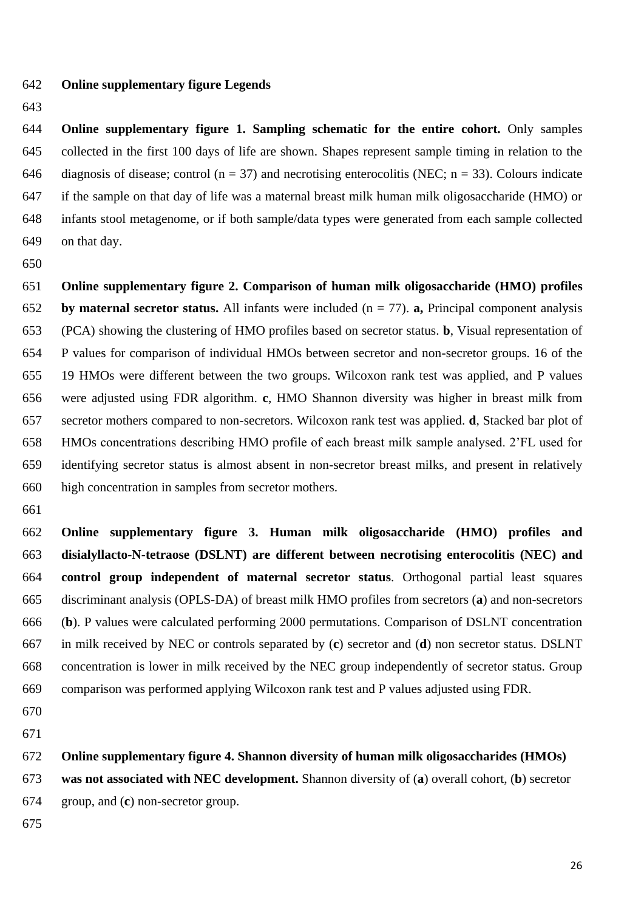- **Online supplementary figure Legends**
- 

 **Online supplementary figure 1. Sampling schematic for the entire cohort.** Only samples collected in the first 100 days of life are shown. Shapes represent sample timing in relation to the 646 diagnosis of disease; control ( $n = 37$ ) and necrotising enterocolitis (NEC;  $n = 33$ ). Colours indicate if the sample on that day of life was a maternal breast milk human milk oligosaccharide (HMO) or infants stool metagenome, or if both sample/data types were generated from each sample collected on that day.

 **Online supplementary figure 2. Comparison of human milk oligosaccharide (HMO) profiles by maternal secretor status.** All infants were included (n = 77). **a,** Principal component analysis (PCA) showing the clustering of HMO profiles based on secretor status. **b**, Visual representation of P values for comparison of individual HMOs between secretor and non-secretor groups. 16 of the 19 HMOs were different between the two groups. Wilcoxon rank test was applied, and P values were adjusted using FDR algorithm. **c**, HMO Shannon diversity was higher in breast milk from secretor mothers compared to non-secretors. Wilcoxon rank test was applied. **d**, Stacked bar plot of HMOs concentrations describing HMO profile of each breast milk sample analysed. 2'FL used for identifying secretor status is almost absent in non-secretor breast milks, and present in relatively high concentration in samples from secretor mothers.

 **Online supplementary figure 3. Human milk oligosaccharide (HMO) profiles and disialyllacto-N-tetraose (DSLNT) are different between necrotising enterocolitis (NEC) and control group independent of maternal secretor status**. Orthogonal partial least squares discriminant analysis (OPLS-DA) of breast milk HMO profiles from secretors (**a**) and non-secretors (**b**). P values were calculated performing 2000 permutations. Comparison of DSLNT concentration in milk received by NEC or controls separated by (**c**) secretor and (**d**) non secretor status. DSLNT concentration is lower in milk received by the NEC group independently of secretor status. Group comparison was performed applying Wilcoxon rank test and P values adjusted using FDR.

**Online supplementary figure 4. Shannon diversity of human milk oligosaccharides (HMOs)** 

 **was not associated with NEC development.** Shannon diversity of (**a**) overall cohort, (**b**) secretor group, and (**c**) non-secretor group.